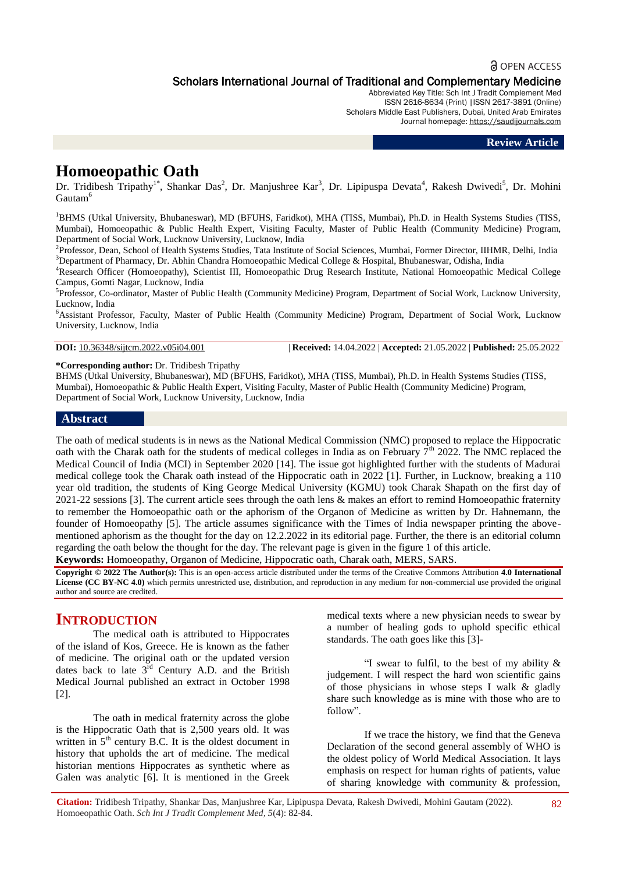## **a** OPEN ACCESS Scholars International Journal of Traditional and Complementary Medicine

Abbreviated Key Title: Sch Int J Tradit Complement Med ISSN 2616-8634 (Print) |ISSN 2617-3891 (Online) Scholars Middle East Publishers, Dubai, United Arab Emirates Journal homepage: [https://saudijournals.com](https://saudijournals.com/sijtcm)

#### **Review Article**

# **Homoeopathic Oath**

Dr. Tridibesh Tripathy<sup>1\*</sup>, Shankar Das<sup>2</sup>, Dr. Manjushree Kar<sup>3</sup>, Dr. Lipipuspa Devata<sup>4</sup>, Rakesh Dwivedi<sup>5</sup>, Dr. Mohini Gautam<sup>6</sup>

<sup>1</sup>BHMS (Utkal University, Bhubaneswar), MD (BFUHS, Faridkot), MHA (TISS, Mumbai), Ph.D. in Health Systems Studies (TISS, Mumbai), Homoeopathic & Public Health Expert, Visiting Faculty, Master of Public Health (Community Medicine) Program, Department of Social Work, Lucknow University, Lucknow, India

<sup>2</sup>Professor, Dean, School of Health Systems Studies, Tata Institute of Social Sciences, Mumbai, Former Director, IIHMR, Delhi, India <sup>3</sup>Department of Pharmacy, Dr. Abhin Chandra Homoeopathic Medical College & Hospital, Bhubaneswar, Odisha, India

<sup>4</sup>Research Officer (Homoeopathy), Scientist III, Homoeopathic Drug Research Institute, National Homoeopathic Medical College Campus, Gomti Nagar, Lucknow, India

<sup>5</sup>Professor, Co-ordinator, Master of Public Health (Community Medicine) Program, Department of Social Work, Lucknow University, Lucknow, India

<sup>6</sup>Assistant Professor, Faculty, Master of Public Health (Community Medicine) Program, Department of Social Work, Lucknow University, Lucknow, India

```
DOI: 10.36348/sijtcm.2022.v05i04.001 | Received: 14.04.2022 | Accepted: 21.05.2022 | Published: 25.05.2022
```
**\*Corresponding author:** Dr. Tridibesh Tripathy

BHMS (Utkal University, Bhubaneswar), MD (BFUHS, Faridkot), MHA (TISS, Mumbai), Ph.D. in Health Systems Studies (TISS, Mumbai), Homoeopathic & Public Health Expert, Visiting Faculty, Master of Public Health (Community Medicine) Program, Department of Social Work, Lucknow University, Lucknow, India

#### **Abstract**

The oath of medical students is in news as the National Medical Commission (NMC) proposed to replace the Hippocratic oath with the Charak oath for the students of medical colleges in India as on February  $7<sup>th</sup>$  2022. The NMC replaced the Medical Council of India (MCI) in September 2020 [14]. The issue got highlighted further with the students of Madurai medical college took the Charak oath instead of the Hippocratic oath in 2022 [1]. Further, in Lucknow, breaking a 110 year old tradition, the students of King George Medical University (KGMU) took Charak Shapath on the first day of 2021-22 sessions [3]. The current article sees through the oath lens & makes an effort to remind Homoeopathic fraternity to remember the Homoeopathic oath or the aphorism of the Organon of Medicine as written by Dr. Hahnemann, the founder of Homoeopathy [5]. The article assumes significance with the Times of India newspaper printing the abovementioned aphorism as the thought for the day on 12.2.2022 in its editorial page. Further, the there is an editorial column regarding the oath below the thought for the day. The relevant page is given in the figure 1 of this article. **Keywords:** Homoeopathy, Organon of Medicine, Hippocratic oath, Charak oath, MERS, SARS.

**Copyright © 2022 The Author(s):** This is an open-access article distributed under the terms of the Creative Commons Attribution **4.0 International License (CC BY-NC 4.0)** which permits unrestricted use, distribution, and reproduction in any medium for non-commercial use provided the original author and source are credited.

# **INTRODUCTION**

The medical oath is attributed to Hippocrates of the island of Kos, Greece. He is known as the father of medicine. The original oath or the updated version dates back to late  $3<sup>rd</sup>$  Century A.D. and the British Medical Journal published an extract in October 1998 [2].

The oath in medical fraternity across the globe is the Hippocratic Oath that is 2,500 years old. It was written in  $5<sup>th</sup>$  century B.C. It is the oldest document in history that upholds the art of medicine. The medical historian mentions Hippocrates as synthetic where as Galen was analytic [6]. It is mentioned in the Greek medical texts where a new physician needs to swear by a number of healing gods to uphold specific ethical standards. The oath goes like this [3]-

"I swear to fulfil, to the best of my ability & judgement. I will respect the hard won scientific gains of those physicians in whose steps I walk & gladly share such knowledge as is mine with those who are to follow".

If we trace the history, we find that the Geneva Declaration of the second general assembly of WHO is the oldest policy of World Medical Association. It lays emphasis on respect for human rights of patients, value of sharing knowledge with community & profession,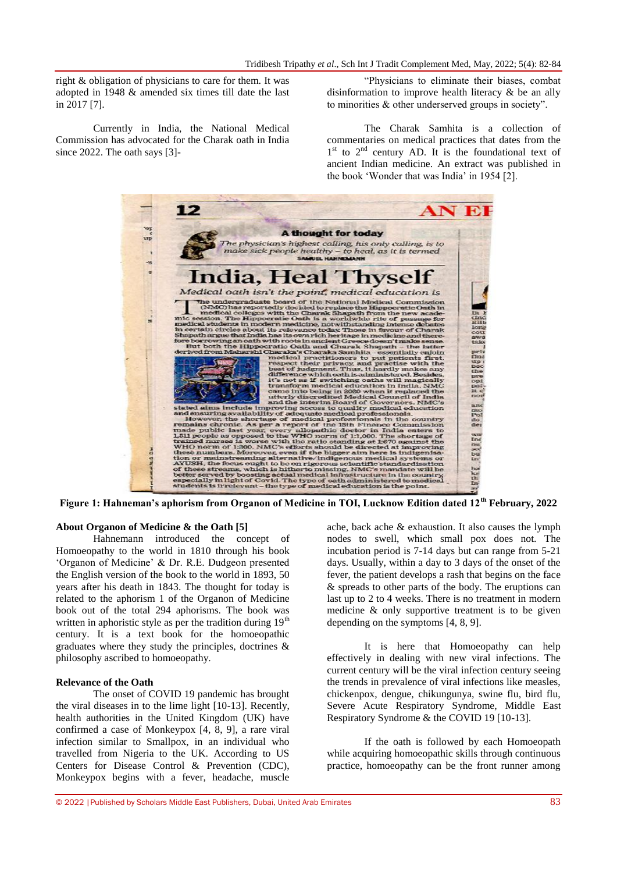right & obligation of physicians to care for them. It was adopted in 1948 & amended six times till date the last in 2017 [7].

Currently in India, the National Medical Commission has advocated for the Charak oath in India since 2022. The oath says [3]-

"Physicians to eliminate their biases, combat disinformation to improve health literacy & be an ally to minorities & other underserved groups in society".

The Charak Samhita is a collection of commentaries on medical practices that dates from the 1<sup>st</sup> to 2<sup>nd</sup> century AD. It is the foundational text of ancient Indian medicine. An extract was published in the book 'Wonder that was India' in 1954 [2].



### **About Organon of Medicine & the Oath [5]**

Hahnemann introduced the concept of Homoeopathy to the world in 1810 through his book 'Organon of Medicine' & Dr. R.E. Dudgeon presented the English version of the book to the world in 1893, 50 years after his death in 1843. The thought for today is related to the aphorism 1 of the Organon of Medicine book out of the total 294 aphorisms. The book was written in aphoristic style as per the tradition during  $19<sup>th</sup>$ century. It is a text book for the homoeopathic graduates where they study the principles, doctrines & philosophy ascribed to homoeopathy.

#### **Relevance of the Oath**

The onset of COVID 19 pandemic has brought the viral diseases in to the lime light [10-13]. Recently, health authorities in the United Kingdom (UK) have confirmed a case of Monkeypox [4, 8, 9], a rare viral infection similar to Smallpox, in an individual who travelled from Nigeria to the UK. According to US Centers for Disease Control & Prevention (CDC), Monkeypox begins with a fever, headache, muscle

ache, back ache & exhaustion. It also causes the lymph nodes to swell, which small pox does not. The incubation period is 7-14 days but can range from 5-21 days. Usually, within a day to 3 days of the onset of the fever, the patient develops a rash that begins on the face & spreads to other parts of the body. The eruptions can last up to 2 to 4 weeks. There is no treatment in modern medicine & only supportive treatment is to be given depending on the symptoms [4, 8, 9].

It is here that Homoeopathy can help effectively in dealing with new viral infections. The current century will be the viral infection century seeing the trends in prevalence of viral infections like measles, chickenpox, dengue, chikungunya, swine flu, bird flu, Severe Acute Respiratory Syndrome, Middle East Respiratory Syndrome & the COVID 19 [10-13].

If the oath is followed by each Homoeopath while acquiring homoeopathic skills through continuous practice, homoeopathy can be the front runner among